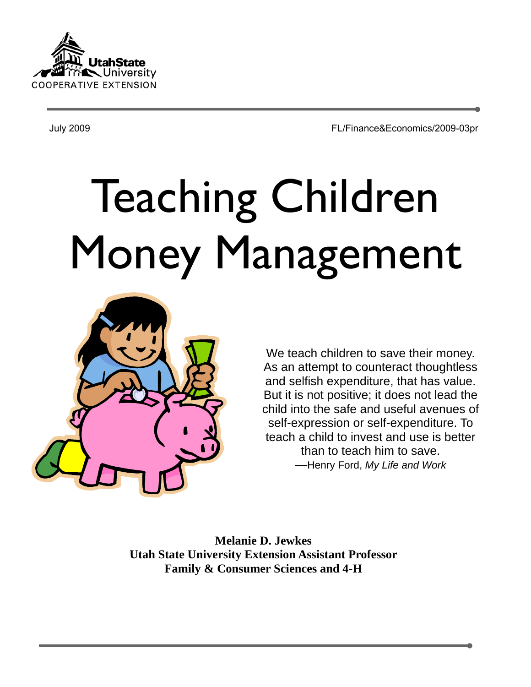

July 2009 FL/Finance&Economics/2009-03pr

# Teaching Children Money Management



We teach children to save their money. As an attempt to counteract thoughtless and selfish expenditure, that has value. But it is not positive; it does not lead the child into the safe and useful avenues of self-expression or self-expenditure. To teach a child to invest and use is better than to teach him to save. —Henry Ford, *My Life and Work*

**Melanie D. Jewkes Utah State University Extension Assistant Professor Family & Consumer Sciences and 4-H**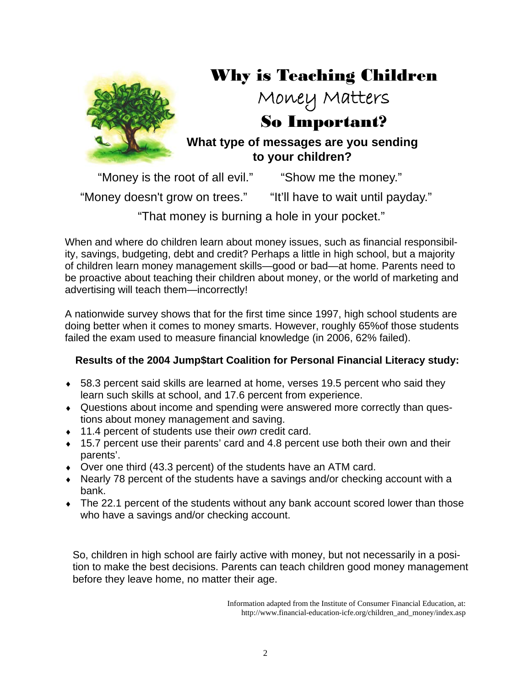

# Why is Teaching Children Money Matters So Important?

## **What type of messages are you sending to your children?**

"Money is the root of all evil." "Show me the money."

"Money doesn't grow on trees." "It'll have to wait until payday."

"That money is burning a hole in your pocket."

When and where do children learn about money issues, such as financial responsibility, savings, budgeting, debt and credit? Perhaps a little in high school, but a majority of children learn money management skills—good or bad—at home. Parents need to be proactive about teaching their children about money, or the world of marketing and advertising will teach them—incorrectly!

A nationwide survey shows that for the first time since 1997, high school students are doing better when it comes to money smarts. However, roughly 65%of those students failed the exam used to measure financial knowledge (in 2006, 62% failed).

## **Results of the 2004 Jump\$tart Coalition for Personal Financial Literacy study:**

- $\bullet$  58.3 percent said skills are learned at home, verses 19.5 percent who said they learn such skills at school, and 17.6 percent from experience.
- ♦ Questions about income and spending were answered more correctly than questions about money management and saving.
- ♦ 11.4 percent of students use their *own* credit card.
- ♦ 15.7 percent use their parents' card and 4.8 percent use both their own and their parents'.
- ♦ Over one third (43.3 percent) of the students have an ATM card.
- ♦ Nearly 78 percent of the students have a savings and/or checking account with a bank.
- The 22.1 percent of the students without any bank account scored lower than those who have a savings and/or checking account.

So, children in high school are fairly active with money, but not necessarily in a position to make the best decisions. Parents can teach children good money management before they leave home, no matter their age.

> Information adapted from the Institute of Consumer Financial Education, at: http://www.financial-education-icfe.org/children\_and\_money/index.asp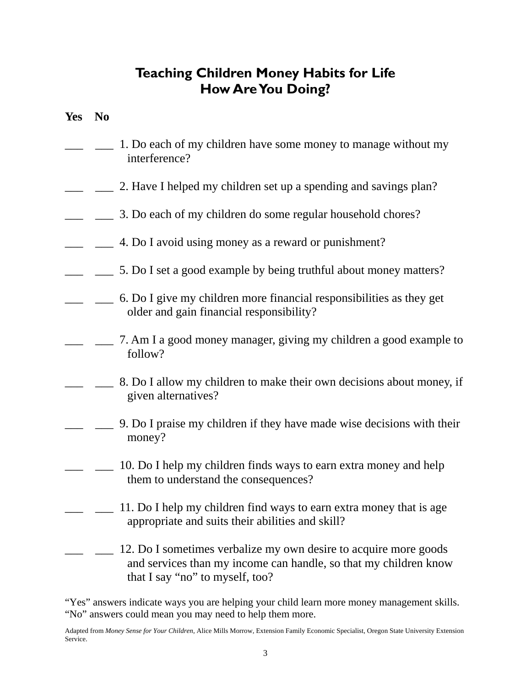## **Teaching Children Money Habits for Life How Are You Doing?**

#### **Yes No**

- 1. Do each of my children have some money to manage without my interference?
- 2. Have I helped my children set up a spending and savings plan?
- 3. Do each of my children do some regular household chores?
- 4. Do I avoid using money as a reward or punishment?
- 5. Do I set a good example by being truthful about money matters?
- $\Box$  6. Do I give my children more financial responsibilities as they get older and gain financial responsibility?
- 7. Am I a good money manager, giving my children a good example to follow?
- \_\_\_ \_\_\_ 8. Do I allow my children to make their own decisions about money, if given alternatives?
- \_\_\_ \_\_\_ 9. Do I praise my children if they have made wise decisions with their money?
- 10. Do I help my children finds ways to earn extra money and help them to understand the consequences?
- 11. Do I help my children find ways to earn extra money that is age appropriate and suits their abilities and skill?
- 12. Do I sometimes verbalize my own desire to acquire more goods and services than my income can handle, so that my children know that I say "no" to myself, too?

"Yes" answers indicate ways you are helping your child learn more money management skills. "No" answers could mean you may need to help them more.

Adapted from *Money Sense for Your Children*, Alice Mills Morrow, Extension Family Economic Specialist, Oregon State University Extension Service.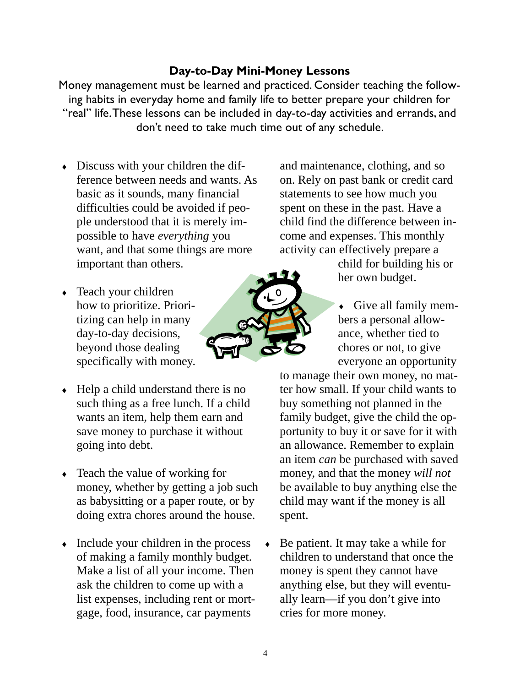## **Day-to-Day Mini-Money Lessons**

Money management must be learned and practiced. Consider teaching the following habits in everyday home and family life to better prepare your children for "real" life. These lessons can be included in day-to-day activities and errands, and don't need to take much time out of any schedule.

- ♦ Discuss with your children the difference between needs and wants. As basic as it sounds, many financial difficulties could be avoided if people understood that it is merely impossible to have *everything* you want, and that some things are more important than others.
- ♦ Teach your children how to prioritize. Prioritizing can help in many day-to-day decisions, beyond those dealing specifically with money.
- $\triangleleft$  Help a child understand there is no such thing as a free lunch. If a child wants an item, help them earn and save money to purchase it without going into debt.
- $\triangleleft$  Teach the value of working for money, whether by getting a job such as babysitting or a paper route, or by doing extra chores around the house.
- Include your children in the process of making a family monthly budget. Make a list of all your income. Then ask the children to come up with a list expenses, including rent or mortgage, food, insurance, car payments

and maintenance, clothing, and so on. Rely on past bank or credit card statements to see how much you spent on these in the past. Have a child find the difference between income and expenses. This monthly activity can effectively prepare a

> child for building his or her own budget.

♦ Give all family members a personal allowance, whether tied to chores or not, to give everyone an opportunity

to manage their own money, no matter how small. If your child wants to buy something not planned in the family budget, give the child the opportunity to buy it or save for it with an allowance. Remember to explain an item *can* be purchased with saved money, and that the money *will not*  be available to buy anything else the child may want if the money is all spent.

• Be patient. It may take a while for children to understand that once the money is spent they cannot have anything else, but they will eventually learn—if you don't give into cries for more money.

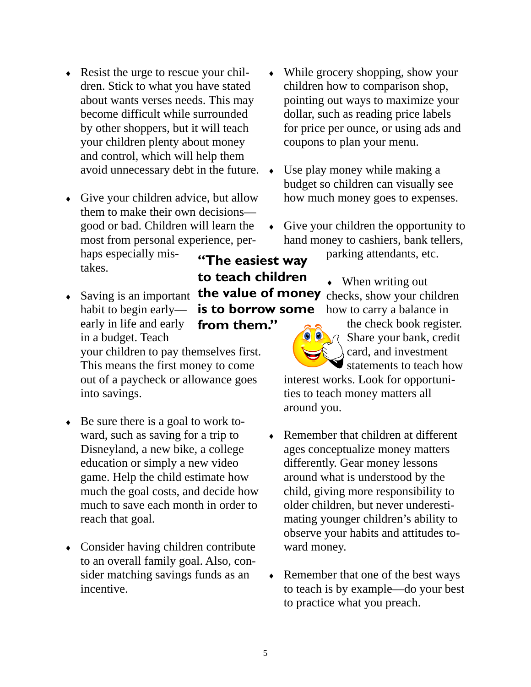- ♦ Resist the urge to rescue your children. Stick to what you have stated about wants verses needs. This may become difficult while surrounded by other shoppers, but it will teach your children plenty about money and control, which will help them avoid unnecessary debt in the future.
- Give your children advice, but allow them to make their own decisions good or bad. Children will learn the most from personal experience, perhaps especially mis-

takes.

 $\triangleleft$  Saving is an important habit to begin early early in life and early in a budget. Teach

your children to pay themselves first. This means the first money to come out of a paycheck or allowance goes into savings.

- Be sure there is a goal to work toward, such as saving for a trip to Disneyland, a new bike, a college education or simply a new video game. Help the child estimate how much the goal costs, and decide how much to save each month in order to reach that goal.
- Consider having children contribute to an overall family goal. Also, consider matching savings funds as an incentive.
- While grocery shopping, show your children how to comparison shop, pointing out ways to maximize your dollar, such as reading price labels for price per ounce, or using ads and coupons to plan your menu.
- Use play money while making a budget so children can visually see how much money goes to expenses.
- ♦ Give your children the opportunity to hand money to cashiers, bank tellers, parking attendants, etc.

**"The easiest way to teach children** 

**is to borrow some** 

**from them."** 

 $\bullet$  When writing out **the value of money** checks, show your children how to carry a balance in



the check book register. Share your bank, credit card, and investment statements to teach how

interest works. Look for opportunities to teach money matters all around you.

- Remember that children at different ages conceptualize money matters differently. Gear money lessons around what is understood by the child, giving more responsibility to older children, but never underestimating younger children's ability to observe your habits and attitudes toward money.
- Remember that one of the best ways to teach is by example—do your best to practice what you preach.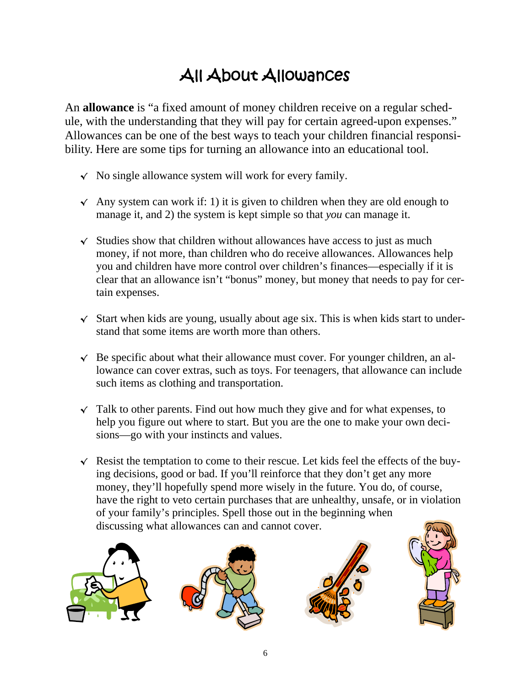# All About Allowances

An **allowance** is "a fixed amount of money children receive on a regular schedule, with the understanding that they will pay for certain agreed-upon expenses." Allowances can be one of the best ways to teach your children financial responsibility. Here are some tips for turning an allowance into an educational tool.

- **√** No single allowance system will work for every family.
- **√** Any system can work if: 1) it is given to children when they are old enough to manage it, and 2) the system is kept simple so that *you* can manage it.
- **√** Studies show that children without allowances have access to just as much money, if not more, than children who do receive allowances. Allowances help you and children have more control over children's finances—especially if it is clear that an allowance isn't "bonus" money, but money that needs to pay for certain expenses.
- **√** Start when kids are young, usually about age six. This is when kids start to understand that some items are worth more than others.
- **√** Be specific about what their allowance must cover. For younger children, an allowance can cover extras, such as toys. For teenagers, that allowance can include such items as clothing and transportation.
- **√** Talk to other parents. Find out how much they give and for what expenses, to help you figure out where to start. But you are the one to make your own decisions—go with your instincts and values.
- **√** Resist the temptation to come to their rescue. Let kids feel the effects of the buying decisions, good or bad. If you'll reinforce that they don't get any more money, they'll hopefully spend more wisely in the future. You do, of course, have the right to veto certain purchases that are unhealthy, unsafe, or in violation of your family's principles. Spell those out in the beginning when discussing what allowances can and cannot cover.







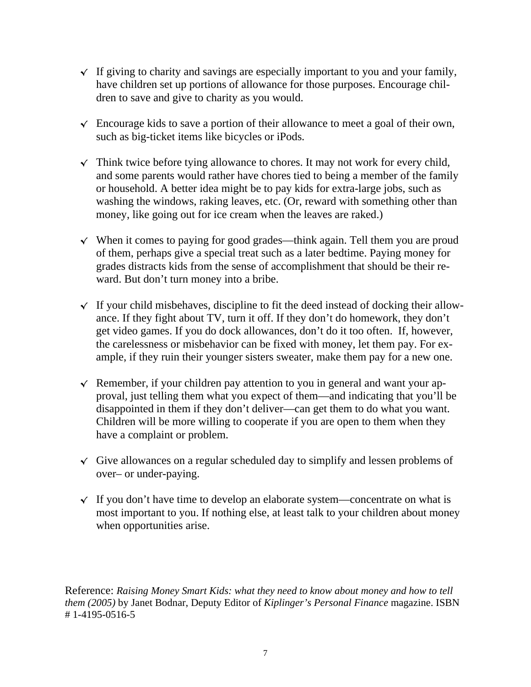- **√** If giving to charity and savings are especially important to you and your family, have children set up portions of allowance for those purposes. Encourage children to save and give to charity as you would.
- **√** Encourage kids to save a portion of their allowance to meet a goal of their own, such as big-ticket items like bicycles or iPods.
- **√** Think twice before tying allowance to chores. It may not work for every child, and some parents would rather have chores tied to being a member of the family or household. A better idea might be to pay kids for extra-large jobs, such as washing the windows, raking leaves, etc. (Or, reward with something other than money, like going out for ice cream when the leaves are raked.)
- **√** When it comes to paying for good grades—think again. Tell them you are proud of them, perhaps give a special treat such as a later bedtime. Paying money for grades distracts kids from the sense of accomplishment that should be their reward. But don't turn money into a bribe.
- **√** If your child misbehaves, discipline to fit the deed instead of docking their allowance. If they fight about TV, turn it off. If they don't do homework, they don't get video games. If you do dock allowances, don't do it too often. If, however, the carelessness or misbehavior can be fixed with money, let them pay. For example, if they ruin their younger sisters sweater, make them pay for a new one.
- **√** Remember, if your children pay attention to you in general and want your approval, just telling them what you expect of them—and indicating that you'll be disappointed in them if they don't deliver—can get them to do what you want. Children will be more willing to cooperate if you are open to them when they have a complaint or problem.
- **√** Give allowances on a regular scheduled day to simplify and lessen problems of over– or under-paying.
- **√** If you don't have time to develop an elaborate system—concentrate on what is most important to you. If nothing else, at least talk to your children about money when opportunities arise.

Reference: *Raising Money Smart Kids: what they need to know about money and how to tell them (2005)* by Janet Bodnar, Deputy Editor of *Kiplinger's Personal Finance* magazine. ISBN # 1-4195-0516-5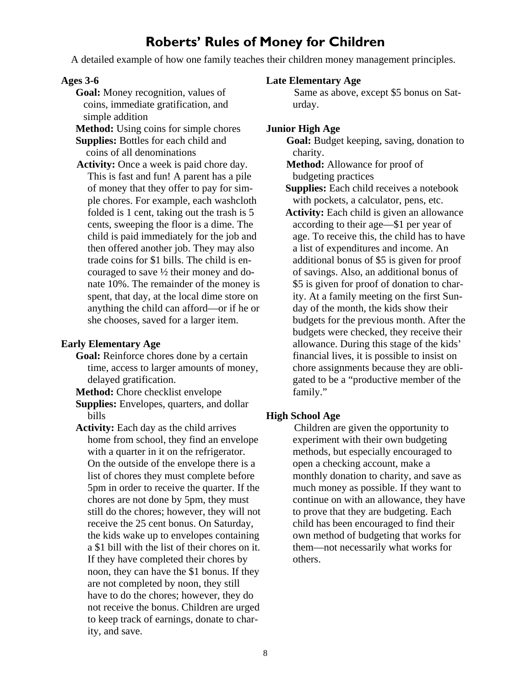## **Roberts' Rules of Money for Children**

A detailed example of how one family teaches their children money management principles.

#### **Ages 3-6**

- **Goal:** Money recognition, values of coins, immediate gratification, and simple addition
- **Method:** Using coins for simple chores
- **Supplies:** Bottles for each child and coins of all denominations
- **Activity:** Once a week is paid chore day. This is fast and fun! A parent has a pile of money that they offer to pay for simple chores. For example, each washcloth folded is 1 cent, taking out the trash is 5 cents, sweeping the floor is a dime. The child is paid immediately for the job and then offered another job. They may also trade coins for \$1 bills. The child is encouraged to save ½ their money and donate 10%. The remainder of the money is spent, that day, at the local dime store on anything the child can afford—or if he or she chooses, saved for a larger item.

#### **Early Elementary Age**

- **Goal:** Reinforce chores done by a certain time, access to larger amounts of money, delayed gratification.
- **Method:** Chore checklist envelope
- **Supplies:** Envelopes, quarters, and dollar bills
- **Activity:** Each day as the child arrives home from school, they find an envelope with a quarter in it on the refrigerator. On the outside of the envelope there is a list of chores they must complete before 5pm in order to receive the quarter. If the chores are not done by 5pm, they must still do the chores; however, they will not receive the 25 cent bonus. On Saturday, the kids wake up to envelopes containing a \$1 bill with the list of their chores on it. If they have completed their chores by noon, they can have the \$1 bonus. If they are not completed by noon, they still have to do the chores; however, they do not receive the bonus. Children are urged to keep track of earnings, donate to charity, and save.

#### **Late Elementary Age**

Same as above, except \$5 bonus on Saturday.

#### **Junior High Age**

- **Goal:** Budget keeping, saving, donation to charity.
- **Method:** Allowance for proof of budgeting practices
- **Supplies:** Each child receives a notebook with pockets, a calculator, pens, etc.
- **Activity:** Each child is given an allowance according to their age—\$1 per year of age. To receive this, the child has to have a list of expenditures and income. An additional bonus of \$5 is given for proof of savings. Also, an additional bonus of \$5 is given for proof of donation to charity. At a family meeting on the first Sunday of the month, the kids show their budgets for the previous month. After the budgets were checked, they receive their allowance. During this stage of the kids' financial lives, it is possible to insist on chore assignments because they are obligated to be a "productive member of the family."

#### **High School Age**

Children are given the opportunity to experiment with their own budgeting methods, but especially encouraged to open a checking account, make a monthly donation to charity, and save as much money as possible. If they want to continue on with an allowance, they have to prove that they are budgeting. Each child has been encouraged to find their own method of budgeting that works for them—not necessarily what works for others.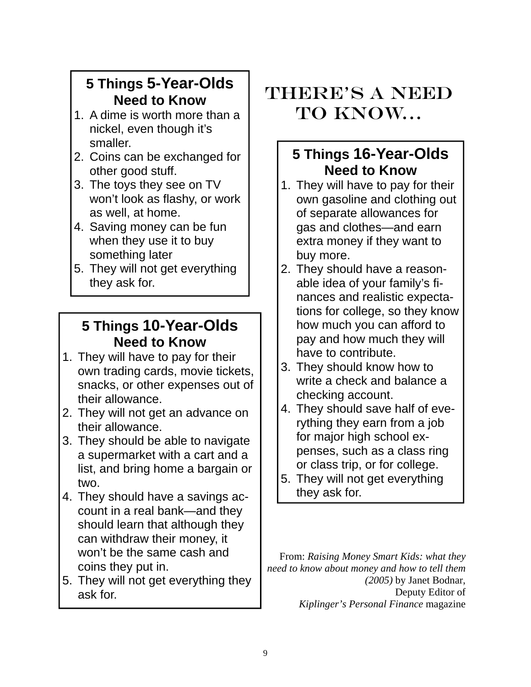## **5 Things 5-Year-Olds Need to Know**

- 1. A dime is worth more than a nickel, even though it's smaller.
- 2. Coins can be exchanged for other good stuff.
- 3. The toys they see on TV won't look as flashy, or work as well, at home.
- 4. Saving money can be fun when they use it to buy something later
- 5. They will not get everything they ask for.

## **5 Things 10-Year-Olds Need to Know**

- 1. They will have to pay for their own trading cards, movie tickets, snacks, or other expenses out of their allowance.
- 2. They will not get an advance on their allowance.
- 3. They should be able to navigate a supermarket with a cart and a list, and bring home a bargain or two.
- 4. They should have a savings account in a real bank—and they should learn that although they can withdraw their money, it won't be the same cash and coins they put in.
- 5. They will not get everything they ask for.

## THERE'S A NEED TO KNOW...

## **5 Things 16-Year-Olds Need to Know**

- 1. They will have to pay for their own gasoline and clothing out of separate allowances for gas and clothes—and earn extra money if they want to buy more.
- 2. They should have a reasonable idea of your family's finances and realistic expectations for college, so they know how much you can afford to pay and how much they will have to contribute.
- 3. They should know how to write a check and balance a checking account.
- 4. They should save half of everything they earn from a job for major high school expenses, such as a class ring or class trip, or for college.
- 5. They will not get everything they ask for.

From: *Raising Money Smart Kids: what they need to know about money and how to tell them (2005)* by Janet Bodnar, Deputy Editor of *Kiplinger's Personal Finance* magazine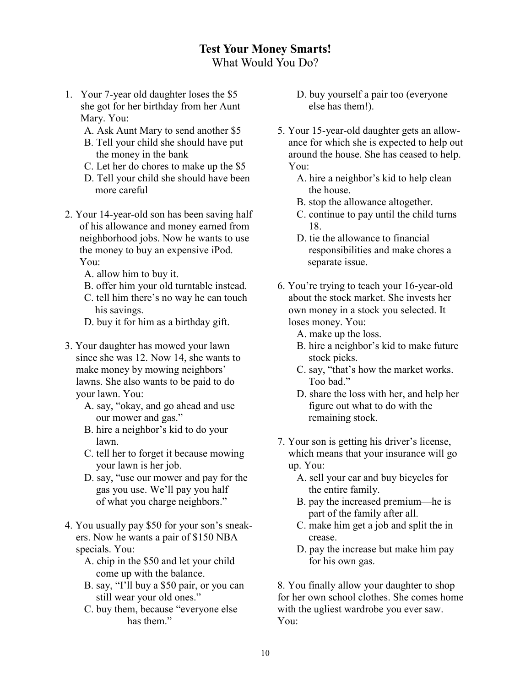## Test Your Money Smarts! What Would You Do?

- 1. Your 7-year old daughter loses the \$5 she got for her birthday from her Aunt Mary. You:
	- A. Ask Aunt Mary to send another \$5
	- B. Tell your child she should have put the money in the bank
	- C. Let her do chores to make up the \$5
	- D. Tell your child she should have been more careful
- 2. Your 14-year-old son has been saving half of his allowance and money earned from neighborhood jobs. Now he wants to use the money to buy an expensive iPod. You:
	- A. allow him to buy it.
	- B. offer him your old turntable instead.
	- C. tell him there's no way he can touch his savings.
	- D. buy it for him as a birthday gift.
- 3. Your daughter has mowed your lawn since she was 12. Now 14, she wants to make money by mowing neighbors' lawns. She also wants to be paid to do your lawn. You:
	- A. say, "okay, and go ahead and use our mower and gas."
	- B. hire a neighbor's kid to do your lawn.
	- C. tell her to forget it because mowing your lawn is her job.
	- D. say, "use our mower and pay for the gas you use. We'll pay you half of what you charge neighbors."
- 4. You usually pay \$50 for your son's sneakers. Now he wants a pair of \$150 NBA specials. You:
	- A. chip in the \$50 and let your child come up with the balance.
	- B. say, "I'll buy a \$50 pair, or you can still wear your old ones."
	- C. buy them, because "everyone else has them"
- D. buy yourself a pair too (everyone else has them!).
- 5. Your 15-year-old daughter gets an allowance for which she is expected to help out around the house. She has ceased to help. You:
	- A. hire a neighbor's kid to help clean the house.
	- B. stop the allowance altogether.
	- C. continue to pay until the child turns 18.
	- D. tie the allowance to financial responsibilities and make chores a separate issue.
- 6. You're trying to teach your 16-year-old about the stock market. She invests her own money in a stock you selected. It loses money. You:
	- A. make up the loss.
	- B. hire a neighbor's kid to make future stock picks.
	- C. say, "that's how the market works. Too bad."
	- D. share the loss with her, and help her figure out what to do with the remaining stock.
- 7. Your son is getting his driver's license, which means that your insurance will go up. You:
	- A. sell your car and buy bicycles for the entire family.
	- B. pay the increased premium—he is part of the family after all.
	- C. make him get a job and split the in crease.
	- D. pay the increase but make him pay for his own gas.

8. You finally allow your daughter to shop for her own school clothes. She comes home with the ugliest wardrobe you ever saw. You: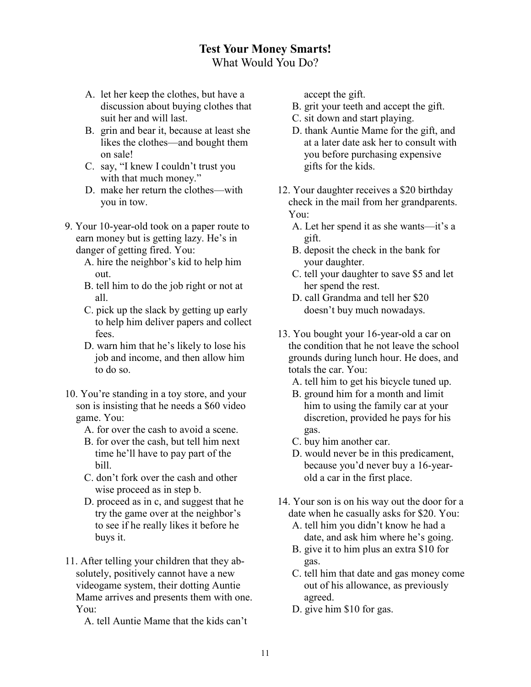## Test Your Money Smarts! What Would You Do?

- A. let her keep the clothes, but have a discussion about buying clothes that suit her and will last.
- B. grin and bear it, because at least she likes the clothes—and bought them on sale!
- C. say, "I knew I couldn't trust you with that much money."
- D. make her return the clothes—with you in tow.
- 9. Your 10-year-old took on a paper route to earn money but is getting lazy. He's in danger of getting fired. You:
	- A. hire the neighbor's kid to help him out.
	- B. tell him to do the job right or not at all.
	- C. pick up the slack by getting up early to help him deliver papers and collect fees.
	- D. warn him that he's likely to lose his job and income, and then allow him to do so.
- 10. You're standing in a toy store, and your son is insisting that he needs a \$60 video game. You:
	- A. for over the cash to avoid a scene.
	- B. for over the cash, but tell him next time he'll have to pay part of the bill.
	- C. don't fork over the cash and other wise proceed as in step b.
	- D. proceed as in c, and suggest that he try the game over at the neighbor's to see if he really likes it before he buys it.
- 11. After telling your children that they absolutely, positively cannot have a new videogame system, their dotting Auntie Mame arrives and presents them with one. You:
	- A. tell Auntie Mame that the kids can't

accept the gift.

- B. grit your teeth and accept the gift.
- C. sit down and start playing.
- D. thank Auntie Mame for the gift, and at a later date ask her to consult with you before purchasing expensive gifts for the kids.
- 12. Your daughter receives a \$20 birthday check in the mail from her grandparents. You:
	- A. Let her spend it as she wants—it's a gift.
	- B. deposit the check in the bank for your daughter.
	- C. tell your daughter to save \$5 and let her spend the rest.
	- D. call Grandma and tell her \$20 doesn't buy much nowadays.
- 13. You bought your 16-year-old a car on the condition that he not leave the school grounds during lunch hour. He does, and totals the car. You:
	- A. tell him to get his bicycle tuned up.
	- B. ground him for a month and limit him to using the family car at your discretion, provided he pays for his gas.
	- C. buy him another car.
	- D. would never be in this predicament, because you'd never buy a 16-year old a car in the first place.
- 14. Your son is on his way out the door for a date when he casually asks for \$20. You:
	- A. tell him you didn't know he had a date, and ask him where he's going.
	- B. give it to him plus an extra \$10 for gas.
	- C. tell him that date and gas money come out of his allowance, as previously agreed.
	- D. give him \$10 for gas.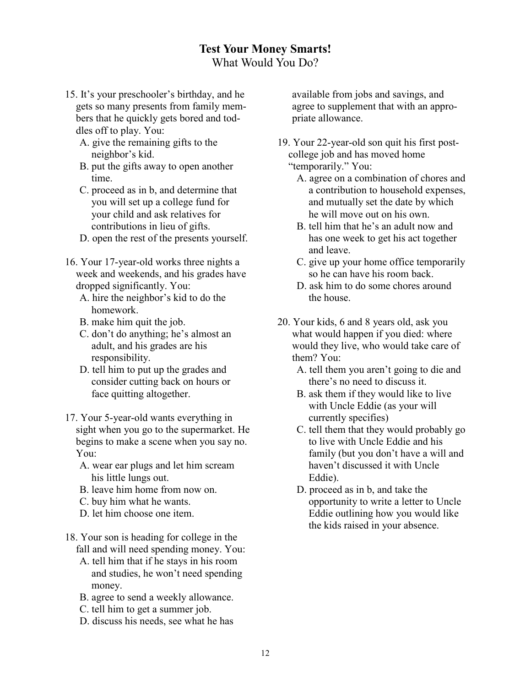## Test Your Money Smarts! What Would You Do?

- 15. It's your preschooler's birthday, and he gets so many presents from family members that he quickly gets bored and toddles off to play. You:
	- A. give the remaining gifts to the neighbor's kid.
	- B. put the gifts away to open another time.
	- C. proceed as in b, and determine that you will set up a college fund for your child and ask relatives for contributions in lieu of gifts.
	- D. open the rest of the presents yourself.
- 16. Your 17-year-old works three nights a week and weekends, and his grades have dropped significantly. You:
	- A. hire the neighbor's kid to do the homework.
	- B. make him quit the job.
	- C. don't do anything; he's almost an adult, and his grades are his responsibility.
	- D. tell him to put up the grades and consider cutting back on hours or face quitting altogether.
- 17. Your 5-year-old wants everything in sight when you go to the supermarket. He begins to make a scene when you say no. You:
	- A. wear ear plugs and let him scream his little lungs out.
	- B. leave him home from now on.
	- C. buy him what he wants.
	- D. let him choose one item.
- 18. Your son is heading for college in the fall and will need spending money. You:
	- A. tell him that if he stays in his room and studies, he won't need spending money.
	- B. agree to send a weekly allowance.
	- C. tell him to get a summer job.
	- D. discuss his needs, see what he has

available from jobs and savings, and agree to supplement that with an appropriate allowance.

- 19. Your 22-year-old son quit his first postcollege job and has moved home "temporarily." You:
	- A. agree on a combination of chores and a contribution to household expenses, and mutually set the date by which he will move out on his own.
	- B. tell him that he's an adult now and has one week to get his act together and leave.
	- C. give up your home office temporarily so he can have his room back.
	- D. ask him to do some chores around the house.
- 20. Your kids, 6 and 8 years old, ask you what would happen if you died: where would they live, who would take care of them? You:
	- A. tell them you aren't going to die and there's no need to discuss it.
	- B. ask them if they would like to live with Uncle Eddie (as your will currently specifies)
	- C. tell them that they would probably go to live with Uncle Eddie and his family (but you don't have a will and haven't discussed it with Uncle Eddie).
	- D. proceed as in b, and take the opportunity to write a letter to Uncle Eddie outlining how you would like the kids raised in your absence.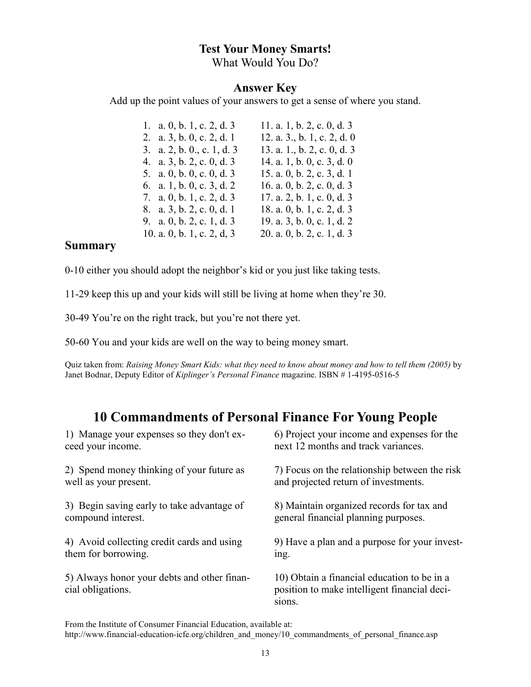#### Test Your Money Smarts!

What Would You Do?

#### Answer Key

Add up the point values of your answers to get a sense of where you stand.

| 1. a. 0, b. 1, c. 2, d. 3  | 11. a. 1, b. 2, c. 0, d. 3     |
|----------------------------|--------------------------------|
| 2. a. 3, b. 0, c. 2, d. 1  | 12. a. $3.$ , b. 1, c. 2, d. 0 |
| 3. a. 2, b. 0., c. 1, d. 3 | 13. a. 1., b. 2, c. 0, d. 3    |
| 4. a. 3, b. 2, c. 0, d. 3  | 14. a. $1, b, 0, c, 3, d, 0$   |
| 5. a. 0, b. 0, c. 0, d. 3  | 15. a. 0, b. 2, c. 3, d. 1     |
| 6. a. 1, b. 0, c. 3, d. 2  | 16. a. 0, b. 2, c. 0, d. 3     |
| 7. a. 0, b. 1, c. 2, d. 3  | 17. a. 2, b. 1, c. 0, d. 3     |
| 8. a. 3, b. 2, c. 0, d. 1  | 18. a. 0, b. 1, c. 2, d. 3     |
| 9. a. 0, b. 2, c. 1, d. 3  | 19. a. 3, b. 0, c. 1, d. 2     |
| 10. a. 0, b. 1, c. 2, d, 3 | 20. a. 0, b. 2, c. 1, d. 3     |

## Summary

0-10 either you should adopt the neighbor's kid or you just like taking tests.

11-29 keep this up and your kids will still be living at home when they're 30.

30-49 You're on the right track, but you're not there yet.

50-60 You and your kids are well on the way to being money smart.

Quiz taken from: Raising Money Smart Kids: what they need to know about money and how to tell them (2005) by Janet Bodnar, Deputy Editor of Kiplinger's Personal Finance magazine. ISBN # 1-4195-0516-5

## 10 Commandments of Personal Finance For Young People

| 1) Manage your expenses so they don't ex-                        | 6) Project your income and expenses for the                                                           |
|------------------------------------------------------------------|-------------------------------------------------------------------------------------------------------|
| ceed your income.                                                | next 12 months and track variances.                                                                   |
| 2) Spend money thinking of your future as                        | 7) Focus on the relationship between the risk                                                         |
| well as your present.                                            | and projected return of investments.                                                                  |
| 3) Begin saving early to take advantage of                       | 8) Maintain organized records for tax and                                                             |
| compound interest.                                               | general financial planning purposes.                                                                  |
| 4) Avoid collecting credit cards and using                       | 9) Have a plan and a purpose for your invest-                                                         |
| them for borrowing.                                              | ing.                                                                                                  |
| 5) Always honor your debts and other finan-<br>cial obligations. | 10) Obtain a financial education to be in a<br>position to make intelligent financial deci-<br>sions. |

From the Institute of Consumer Financial Education, available at: http://www.financial-education-icfe.org/children\_and\_money/10\_commandments\_of\_personal\_finance.asp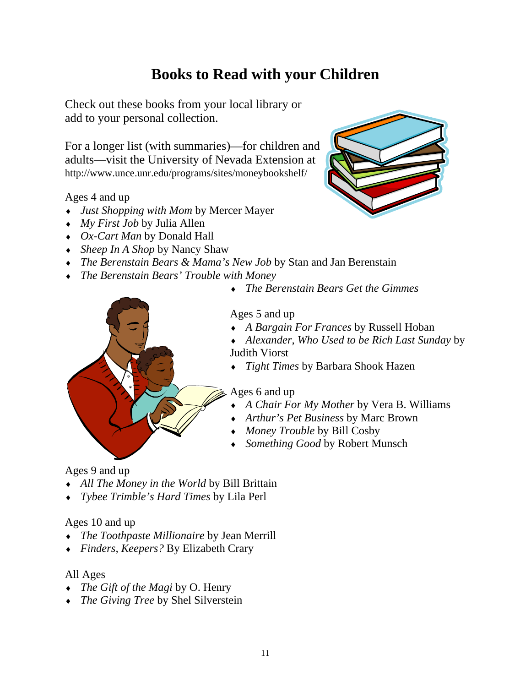## **Books to Read with your Children**

Check out these books from your local library or add to your personal collection.

For a longer list (with summaries)—for children and adults—visit the University of Nevada Extension at http://www.unce.unr.edu/programs/sites/moneybookshelf/

Ages 4 and up

- ♦ *Just Shopping with Mom* by Mercer Mayer
- ♦ *My First Job* by Julia Allen
- ♦ *Ox-Cart Man* by Donald Hall
- ♦ *Sheep In A Shop* by Nancy Shaw
- ♦ *The Berenstain Bears & Mama's New Job* by Stan and Jan Berenstain
- ♦ *The Berenstain Bears' Trouble with Money*
	- ♦ *The Berenstain Bears Get the Gimmes*

Ages 5 and up

- ♦ *A Bargain For Frances* by Russell Hoban
- ♦ *Alexander, Who Used to be Rich Last Sunday* by Judith Viorst
- ♦ *Tight Times* by Barbara Shook Hazen

## Ages 6 and up

- ♦ *A Chair For My Mother* by Vera B. Williams
- ♦ *Arthur's Pet Business* by Marc Brown
- ♦ *Money Trouble* by Bill Cosby
- *Something Good* by Robert Munsch

Ages 9 and up

- ♦ *All The Money in the World* by Bill Brittain
- ♦ *Tybee Trimble's Hard Times* by Lila Perl

## Ages 10 and up

- ♦ *The Toothpaste Millionaire* by Jean Merrill
- ♦ *Finders, Keepers?* By Elizabeth Crary

#### All Ages

- ♦ *The Gift of the Magi* by O. Henry
- ♦ *The Giving Tree* by Shel Silverstein